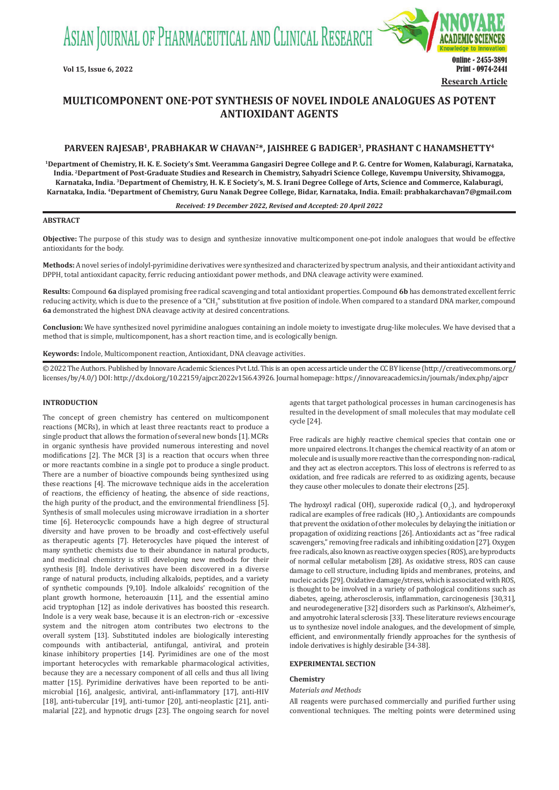ASIAN JOURNAL OF PHARMACEUTICAL AND CLINICAL RESEARCH



## **MULTICOMPONENT ONE-POT SYNTHESIS OF NOVEL INDOLE ANALOGUES AS POTENT ANTIOXIDANT AGENTS**

## **PARVEEN RAJESAB<sup>1</sup>, PRABHAKAR W CHAVAN<sup>2</sup>\*, JAISHREE G BADIGER<sup>3</sup>, PRASHANT C HANAMSHETTY<sup>4</sup>**

**<sup>1</sup>Department of  Chemistry, H. K. E. Society's Smt. Veeramma Gangasiri Degree College and P. G. Centre for Women, Kalaburagi, Karnataka, India. <sup>2</sup>Department of Post-Graduate Studies and Research in Chemistry, Sahyadri Science College, Kuvempu University, Shivamogga, Karnataka, India. <sup>3</sup>Department of  Chemistry, H. K. E Society's, M. S. Irani Degree College of Arts, Science and Commerce, Kalaburagi, Karnataka, India. <sup>4</sup>Department of Chemistry, Guru Nanak Degree College, Bidar, Karnataka, India. Email: prabhakarchavan7@gmail.com**

#### *Received: 19 December 2022, Revised and Accepted: 20 April 2022*

#### **ABSTRACT**

**Objective:** The purpose of this study was to design and synthesize innovative multicomponent one-pot indole analogues that would be effective antioxidants for the body.

**Methods:** A novel series of indolyl-pyrimidine derivatives were synthesized and characterized by spectrum analysis, and their antioxidant activity and DPPH, total antioxidant capacity, ferric reducing antioxidant power methods, and DNA cleavage activity were examined.

**Results:** Compound **6a** displayed promising free radical scavenging and total antioxidant properties. Compound **6b** has demonstrated excellent ferric reducing activity, which is due to the presence of a "CH<sub>3</sub>" substitution at five position of indole. When compared to a standard DNA marker, compound **6a** demonstrated the highest DNA cleavage activity at desired concentrations.

**Conclusion:** We have synthesized novel pyrimidine analogues containing an indole moiety to investigate drug-like molecules. We have devised that a method that is simple, multicomponent, has a short reaction time, and is ecologically benign.

**Keywords:** Indole, Multicomponent reaction, Antioxidant, DNA cleavage activities.

© 2022 The Authors. Published by Innovare Academic Sciences Pvt Ltd. This is an open access article under the CC BY license (http://creativecommons.org/ licenses/by/4.0/) DOI: http://dx.doi.org/10.22159/ajpcr.2022v15i6.43926. Journal homepage: https://innovareacademics.in/journals/index.php/ajpcr

#### **INTRODUCTION**

The concept of green chemistry has centered on multicomponent reactions (MCRs), in which at least three reactants react to produce a single product that allows the formation of several new bonds [1]. MCRs in organic synthesis have provided numerous interesting and novel modifications [2]. The MCR [3] is a reaction that occurs when three or more reactants combine in a single pot to produce a single product. There are a number of bioactive compounds being synthesized using these reactions [4]. The microwave technique aids in the acceleration of reactions, the efficiency of heating, the absence of side reactions, the high purity of the product, and the environmental friendliness [5]. Synthesis of small molecules using microwave irradiation in a shorter time [6]. Heterocyclic compounds have a high degree of structural diversity and have proven to be broadly and cost-effectively useful as therapeutic agents [7]. Heterocycles have piqued the interest of many synthetic chemists due to their abundance in natural products, and medicinal chemistry is still developing new methods for their synthesis [8]. Indole derivatives have been discovered in a diverse range of natural products, including alkaloids, peptides, and a variety of synthetic compounds [9,10]. Indole alkaloids' recognition of the plant growth hormone, heteroauxin [11], and the essential amino acid tryptophan [12] as indole derivatives has boosted this research. Indole is a very weak base, because it is an electron-rich or -excessive system and the nitrogen atom contributes two electrons to the overall system [13]. Substituted indoles are biologically interesting compounds with antibacterial, antifungal, antiviral, and protein kinase inhibitory properties [14]. Pyrimidines are one of the most important heterocycles with remarkable pharmacological activities, because they are a necessary component of all cells and thus all living matter [15]. Pyrimidine derivatives have been reported to be antimicrobial [16], analgesic, antiviral, anti-inflammatory [17], anti-HIV [18], anti-tubercular [19], anti-tumor [20], anti-neoplastic [21], antimalarial [22], and hypnotic drugs [23]. The ongoing search for novel agents that target pathological processes in human carcinogenesis has resulted in the development of small molecules that may modulate cell cycle [24].

Free radicals are highly reactive chemical species that contain one or more unpaired electrons. It changes the chemical reactivity of an atom or molecule and is usually more reactive than the corresponding non-radical, and they act as electron acceptors. This loss of electrons is referred to as oxidation, and free radicals are referred to as oxidizing agents, because they cause other molecules to donate their electrons [25].

The hydroxyl radical (OH), superoxide radical  $(O_2)$ , and hydroperoxyl radical are examples of free radicals  $(HO_2)$ . Antioxidants are compounds that prevent the oxidation of other molecules by delaying the initiation or propagation of oxidizing reactions [26]. Antioxidants act as "free radical scavengers," removing free radicals and inhibiting oxidation [27]. Oxygen free radicals, also known as reactive oxygen species (ROS), are byproducts of normal cellular metabolism [28]. As oxidative stress, ROS can cause damage to cell structure, including lipids and membranes, proteins, and nucleic acids [29]. Oxidative damage/stress, which is associated with ROS, is thought to be involved in a variety of pathological conditions such as diabetes, ageing, atherosclerosis, inflammation, carcinogenesis [30,31], and neurodegenerative [32] disorders such as Parkinson's, Alzheimer's, and amyotrohic lateral sclerosis [33]. These literature reviews encourage us to synthesize novel indole analogues, and the development of simple, efficient, and environmentally friendly approaches for the synthesis of indole derivatives is highly desirable [34-38].

## **EXPERIMENTAL SECTION**

#### **Chemistry**

#### *Materials and Methods*

All reagents were purchased commercially and purified further using conventional techniques. The melting points were determined using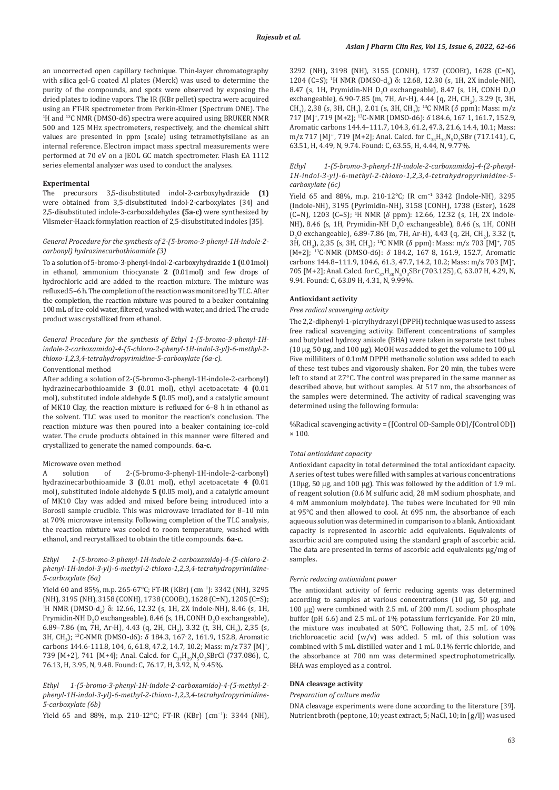an uncorrected open capillary technique. Thin-layer chromatography with silica gel-G coated Al plates (Merck) was used to determine the purity of the compounds, and spots were observed by exposing the dried plates to iodine vapors. The IR (KBr pellet) spectra were acquired using an FT-IR spectrometer from Perkin-Elmer (Spectrum ONE). The <sup>1</sup>H and <sup>13</sup>C NMR (DMSO-d6) spectra were acquired using BRUKER NMR 500 and 125 MHz spectrometers, respectively, and the chemical shift values are presented in ppm (scale) using tetramethylsilane as an internal reference. Electron impact mass spectral measurements were performed at 70 eV on a JEOL GC match spectrometer. Flash EA 1112 series elemental analyzer was used to conduct the analyses.

## **Experimental**

The precursors 3,5-disubstituted indol-2-carboxyhydrazide **(1)** were obtained from 3,5-disubstituted indol-2-carboxylates [34] and 2,5-disubstituted indole-3-carboxaldehydes **(5a-c)** were synthesized by Vilsmeier-Haack formylation reaction of 2,5-disubstituted indoles [35].

## *General Procedure for the synthesis of 2-(5-bromo-3-phenyl-1H-indole-2 carbonyl) hydrazinecarbothioamide (3)*

To a solution of 5-bromo-3-phenyl-indol-2-carboxyhydrazide **1 (**0.01mol) in ethanol, ammonium thiocyanate **2 (**0.01mol) and few drops of hydrochloric acid are added to the reaction mixture. The mixture was refluxed 5–6h. The completion of the reaction was monitored by TLC. After the completion, the reaction mixture was poured to a beaker containing 100 mL of ice-cold water, filtered, washed with water, and dried. The crude product was crystallized from ethanol.

## *General Procedure for the synthesis of Ethyl 1-(5-bromo-3-phenyl-1Hindole-2-carboxamido)-4-(5-chloro-2-phenyl-1H-indol-3-yl)-6-methyl-2 thioxo-1,2,3,4-tetrahydropyrimidine-5-carboxylate (6a-c).*

#### Conventional method

After adding a solution of 2-(5-bromo-3-phenyl-1H-indole-2-carbonyl) hydrazinecarbothioamide **3 (**0.01 mol), ethyl acetoacetate **4 (**0.01 mol), substituted indole aldehyde **5 (**0.05 mol), and a catalytic amount of MK10 Clay, the reaction mixture is refluxed for 6–8 h in ethanol as the solvent. TLC was used to monitor the reaction's conclusion. The reaction mixture was then poured into a beaker containing ice-cold water. The crude products obtained in this manner were filtered and crystallized to generate the named compounds. **6a-c.**

# Microwave oven method<br>A solution of

A solution of 2-(5-bromo-3-phenyl-1H-indole-2-carbonyl) hydrazinecarbothioamide **3 (**0.01 mol), ethyl acetoacetate **4 (**0.01 mol), substituted indole aldehyde **5 (**0.05 mol), and a catalytic amount of MK10 Clay was added and mixed before being introduced into a Borosil sample crucible. This was microwave irradiated for 8–10 min at 70% microwave intensity. Following completion of the TLC analysis, the reaction mixture was cooled to room temperature, washed with ethanol, and recrystallized to obtain the title compounds. **6a-c.**

## *Ethyl 1-(5-bromo-3-phenyl-1H-indole-2-carboxamido)-4-(5-chloro-2 phenyl-1H-indol-3-yl)-6-methyl-2-thioxo-1,2,3,4-tetrahydropyrimidine-5-carboxylate (6a)*

Yield 60 and 85%, m.p. 265-67°C; FT-IR (KBr) (cm−1): 3342 (NH), 3295 (NH), 3195 (NH), 3158 (CONH), 1738 (COOEt), 1628 (C=N), 1205 (C=S); <sup>1</sup>H NMR (DMSO-d<sub>6</sub>) δ: 12.66, 12.32 (s, 1H, 2X indole-NH), 8.46 (s, 1H, Prymidin-NH  $D_2O$  exchangeable), 8.46 (s, 1H, CONH  $D_2O$  exchangeable), 6.89–7.86 (m, 7H, Ar-H), 4.43 (q, 2H, CH<sub>2</sub>), 3.32 (t, 3H, CH<sub>3</sub>), 2,35 (s, 3H, CH<sub>3</sub>); <sup>13</sup>C-NMR (DMSO-d6):  $\delta$  184.3, 167<sup>.</sup> 2, 161.9, 152.8, Aromatic carbons 144.6-111.8, 104, 6, 61.8, 47.2, 14.7, 10.2; Mass: m/z 737 [M]<sup>+</sup> , 739 [M+2], 741 [M+4]; Anal. Calcd. for  $C_{37}H_{29}N_5O_3SBrCl$  (737.086), C, 76.13, H, 3.95, N, 9.48. Found: C, 76.17, H, 3.92, N, 9.45%.

## *Ethyl 1-(5-bromo-3-phenyl-1H-indole-2-carboxamido)-4-(5-methyl-2 phenyl-1H-indol-3-yl)-6-methyl-2-thioxo-1,2,3,4-tetrahydropyrimidine-5-carboxylate (6b)*

Yield 65 and 88%, m.p. 210-12°C; FT-IR (KBr) (cm−1): 3344 (NH),

3292 (NH), 3198 (NH), 3155 (CONH), 1737 (COOEt), 1628 (C=N), 1204 (C=S); <sup>1</sup>H NMR (DMSO-d<sub>6</sub>) δ: 12.68, 12.30 (s, 1H, 2X indole-NH), 8.47 (s, 1H, Prymidin-NH  $D_2O$  exchangeable), 8.47 (s, 1H, CONH  $D_2O$ exchangeable), 6.90-7.85 (m, 7H, Ar-H), 4.44 (q, 2H, CH<sub>2</sub>), 3.29 (t, 3H, CH<sub>3</sub>), 2,38 (s, 3H, CH<sub>3</sub>), 2.01 (s, 3H, CH<sub>3</sub>); <sup>13</sup>C NMR ( $\delta$  ppm): Mass: m/z 717 [M]<sup>+</sup>, 719 [M+2]; <sup>13</sup>C-NMR (DMSO-d6): δ 184.6, 167<sup>.</sup> 1, 161.7, 152.9, Aromatic carbons 144.4–111.7, 104.3, 61.2, 47.3, 21.6, 14.4, 10.1; Mass: m/z 717 [M]<sup>+</sup>, 719 [M+2]; Anal. Calcd. for  $C_{38}H_{30}N_5O_3SBr$  (717.141), C, 63.51, H, 4.49, N, 9.74. Found: C, 63.55, H, 4.44, N, 9.77%.

## *Ethyl 1-(5-bromo-3-phenyl-1H-indole-2-carboxamido)-4-(2-phenyl-1H-indol-3-yl)-6-methyl-2-thioxo-1,2,3,4-tetrahydropyrimidine-5 carboxylate (6c)*

Yield 65 and 88%, m.p. 210-12°C; IR cm−1: 3342 (Indole-NH), 3295 (Indole-NH), 3195 (Pyrimidin-NH), 3158 (CONH), 1738 (Ester), 1628  $(C=N)$ , 1203  $(C=S)$ ; <sup>1</sup>H NMR ( $\delta$  ppm): 12.66, 12.32 (s, 1H, 2X indole-NH), 8.46 (s, 1H, Prymidin-NH  $D_2O$  exchangeable), 8.46 (s, 1H, CONH  $D_2$ O exchangeable), 6.89-7.86 (m, 7H, Ar-H), 4.43 (q, 2H, CH<sub>2</sub>), 3.32 (t, 3H, CH<sub>3</sub>), 2,35 (s, 3H, CH<sub>3</sub>); <sup>13</sup>C NMR (δ ppm): Mass: m/z 703 [M]<sup>+</sup>, 705 [M+2]; <sup>13</sup>C-NMR (DMSO-d6):  $\delta$  184.2, 167.8, 161.9, 152.7, Aromatic carbons 144.8–111.9, 104.6, 61.3, 47.7, 14.2, 10.2; Mass: m/z 703 [M]+ , 705 [M+2]; Anal. Calcd. for  $C_{37}H_{30}N_5O_3SBr$  (703.125), C, 63.07 H, 4.29, N, 9.94. Found: C, 63.09 H, 4.31, N, 9.99%.

### **Antioxidant activity**

#### *Free radical scavenging activity*

The 2,2-diphenyl-1-picrylhydrazyl (DPPH) technique was used to assess free radical scavenging activity. Different concentrations of samples and butylated hydroxy anisole (BHA) were taken in separate test tubes (10 µg, 50 µg, and 100 µg). MeOH was added to get the volume to 100 µl. Five milliliters of 0.1mM DPPH methanolic solution was added to each of these test tubes and vigorously shaken. For 20 min, the tubes were left to stand at 27°C. The control was prepared in the same manner as described above, but without samples. At 517 nm, the absorbances of the samples were determined. The activity of radical scavenging was determined using the following formula:

%Radical scavenging activity = ([Control OD-Sample OD]/[Control OD]) × 100.

#### *Total antioxidant capacity*

Antioxidant capacity in total determined the total antioxidant capacity. A series of test tubes were filled with samples at various concentrations ( $10\mu$ g,  $50\mu$ g, and  $100\mu$ g). This was followed by the addition of  $1.9\mu$ L of reagent solution (0.6 M sulfuric acid, 28 mM sodium phosphate, and 4 mM ammonium molybdate). The tubes were incubated for 90 min at 95°C and then allowed to cool. At 695 nm, the absorbance of each aqueous solution was determined in comparison to a blank. Antioxidant capacity is represented in ascorbic acid equivalents. Equivalents of ascorbic acid are computed using the standard graph of ascorbic acid. The data are presented in terms of ascorbic acid equivalents µg/mg of samples.

## *Ferric reducing antioxidant power*

The antioxidant activity of ferric reducing agents was determined according to samples at various concentrations (10 µg, 50 µg, and 100 µg) were combined with 2.5 mL of 200 mm/L sodium phosphate buffer (pH 6.6) and 2.5 mL of 1% potassium ferricyanide. For 20 min, the mixture was incubated at 50°C. Following that, 2.5 mL of 10% trichloroacetic acid  $(w/v)$  was added. 5 mL of this solution was combined with 5 mL distilled water and 1 mL 0.1% ferric chloride, and the absorbance at 700 nm was determined spectrophotometrically. BHA was employed as a control.

## **DNA cleavage activity**

#### *Preparation of culture media*

DNA cleavage experiments were done according to the literature [39]. Nutrient broth (peptone, 10; yeast extract, 5; NaCl, 10; in [g/l]) was used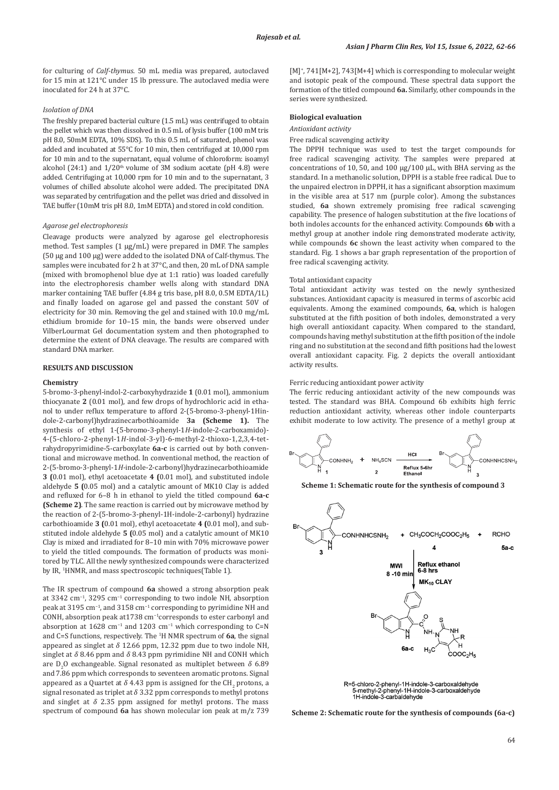for culturing of *Calf-thymus*. 50 mL media was prepared, autoclaved for 15 min at 121°C under 15 lb pressure. The autoclaved media were inoculated for 24 h at 37°C.

## *Isolation of DNA*

The freshly prepared bacterial culture (1.5 mL) was centrifuged to obtain the pellet which was then dissolved in 0.5 mL of lysis buffer (100 mM tris pH 8.0, 50mM EDTA, 10% SDS). To this 0.5 mL of saturated, phenol was added and incubated at 55°C for 10 min, then centrifuged at 10,000 rpm for 10 min and to the supernatant, equal volume of chloroform: isoamyl alcohol (24:1) and  $1/20<sup>th</sup>$  volume of 3M sodium acetate (pH 4.8) were added. Centrifuging at 10,000 rpm for 10 min and to the supernatant, 3 volumes of chilled absolute alcohol were added. The precipitated DNA was separated by centrifugation and the pellet was dried and dissolved in TAE buffer (10mM tris pH 8.0, 1mM EDTA) and stored in cold condition.

#### *Agarose gel electrophoresis*

Cleavage products were analyzed by agarose gel electrophoresis method. Test samples (1 µg/mL) were prepared in DMF. The samples (50 µg and 100 µg) were added to the isolated DNA of Calf-thymus. The samples were incubated for 2 h at 37°C, and then, 20 mL of DNA sample (mixed with bromophenol blue dye at 1:1 ratio) was loaded carefully into the electrophoresis chamber wells along with standard DNA marker containing TAE buffer (4.84 g tris base, pH 8.0, 0.5M EDTA/1L) and finally loaded on agarose gel and passed the constant 50V of electricity for 30 min. Removing the gel and stained with 10.0 mg/mL ethidium bromide for 10–15 min, the bands were observed under VilberLourmat Gel documentation system and then photographed to determine the extent of DNA cleavage. The results are compared with standard DNA marker.

#### **RESULTS AND DISCUSSION**

## **Chemistry**

5-bromo-3-phenyl-indol-2-carboxyhydrazide **1** (0.01 mol), ammonium thiocyanate **2** (0.01 mol), and few drops of hydrochloric acid in ethanol to under reflux temperature to afford 2-(5-bromo-3-phenyl-1Hindole-2-carbonyl)hydrazinecarbothioamide **3a (Scheme 1).** The synthesis of ethyl 1-(5-bromo-3-phenyl-1*H*-indole-2-carboxamido)- 4-(5-chloro-2-phenyl-1*H*-indol-3-yl)-6-methyl-2-thioxo-1,2,3,4-tetrahydropyrimidine-5-carboxylate **6a-c** is carried out by both conventional and microwave method. In conventional method, the reaction of 2-(5-bromo-3-phenyl-1*H*-indole-2-carbonyl)hydrazinecarbothioamide **3 (**0.01 mol), ethyl acetoacetate **4 (**0.01 mol), and substituted indole aldehyde **5 (**0.05 mol) and a catalytic amount of MK10 Clay is added and refluxed for 6–8 h in ethanol to yield the titled compound **6a-c (Scheme 2)**. The same reaction is carried out by microwave method by the reaction of 2-(5-bromo-3-phenyl-1H-indole-2-carbonyl) hydrazine carbothioamide **3 (**0.01 mol), ethyl acetoacetate **4 (**0.01 mol), and substituted indole aldehyde **5 (**0.05 mol) and a catalytic amount of MK10 Clay is mixed and irradiated for 8–10 min with 70% microwave power to yield the titled compounds. The formation of products was monitored by TLC. All the newly synthesized compounds were characterized by IR, <sup>1</sup>HNMR, and mass spectroscopic techniques(Table 1).

The IR spectrum of compound **6a** showed a strong absorption peak at 3342 cm−1, 3295 cm−1 corresponding to two indole NH, absorption peak at 3195 cm<sup>-1</sup>, and 3158 cm<sup>-1</sup> corresponding to pyrimidine NH and CONH, absorption peak at1738 cm−1corresponds to ester carbonyl and absorption at 1628 cm<sup>-1</sup> and 1203 cm<sup>-1</sup> which corresponding to C=N and C=S functions, respectively. The <sup>1</sup> H NMR spectrum of **6a**, the signal appeared as singlet at  $\delta$  12.66 ppm, 12.32 ppm due to two indole NH, singlet at  $\delta$  8.46 ppm and  $\delta$  8.43 ppm pyrimidine NH and CONH which are  $D_2O$  exchangeable. Signal resonated as multiplet between  $\delta$  6.89 and 7.86 ppm which corresponds to seventeen aromatic protons. Signal appeared as a Quartet at  $\delta$  4.43 ppm is assigned for the CH<sub>2</sub> protons, a signal resonated as triplet at  $\delta$  3.32 ppm corresponds to methyl protons and singlet at  $\delta$  2.35 ppm assigned for methyl protons. The mass spectrum of compound **6a** has shown molecular ion peak at m/z 739

[M]<sup>+</sup> , 741[M+2], 743[M+4] which is corresponding to molecular weight and isotopic peak of the compound. These spectral data support the formation of the titled compound **6a.** Similarly, other compounds in the series were synthesized.

## **Biological evaluation**

## *Antioxidant activity*

Free radical scavenging activity

The DPPH technique was used to test the target compounds for free radical scavenging activity. The samples were prepared at concentrations of 10, 50, and 100 μg/100 μL, with BHA serving as the standard. In a methanolic solution, DPPH is a stable free radical. Due to the unpaired electron in DPPH, it has a significant absorption maximum in the visible area at 517 nm (purple color). Among the substances studied, **6a** shown extremely promising free radical scavenging capability. The presence of halogen substitution at the five locations of both indoles accounts for the enhanced activity. Compounds **6b** with a methyl group at another indole ring demonstrated moderate activity, while compounds **6c** shown the least activity when compared to the standard. Fig. 1 shows a bar graph representation of the proportion of free radical scavenging activity.

## Total antioxidant capacity

Total antioxidant activity was tested on the newly synthesized substances. Antioxidant capacity is measured in terms of ascorbic acid equivalents. Among the examined compounds, **6a**, which is halogen substituted at the fifth position of both indoles, demonstrated a very high overall antioxidant capacity. When compared to the standard, compounds having methyl substitution at the fifth position of the indole ring and no substitution at the second and fifth positions had the lowest overall antioxidant capacity. Fig. 2 depicts the overall antioxidant activity results.

#### Ferric reducing antioxidant power activity

The ferric reducing antioxidant activity of the new compounds was tested. The standard was BHA. Compound 6b exhibits high ferric reduction antioxidant activity, whereas other indole counterparts exhibit moderate to low activity. The presence of a methyl group at



**Scheme 1: Schematic route for the synthesis of compound 3**



R=5-chloro-2-phenyl-1H-indole-3-carboxaldehyde 5-methyl-2-phenyl-1H-indole-3-carboxaldenyde<br>1H-indole-3-carbaldehyde

**Scheme 2: Schematic route for the synthesis of compounds (6a-c)**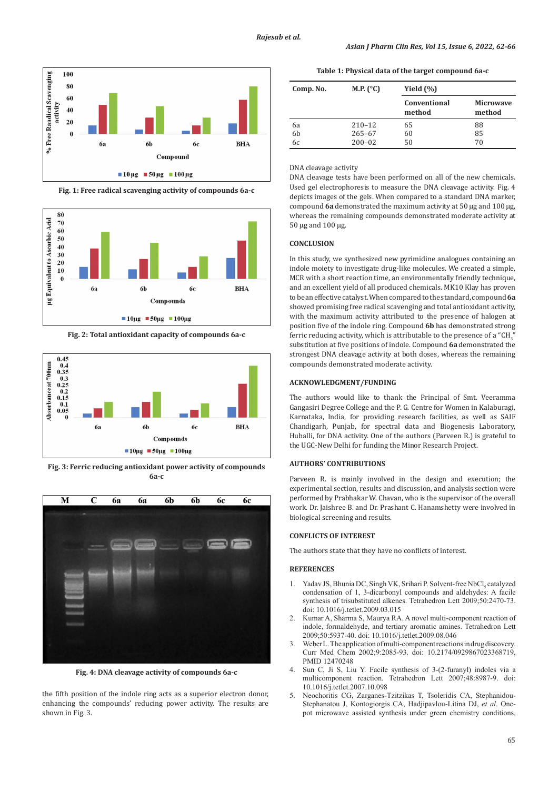

**Fig. 1: Free radical scavenging activity of compounds 6a-c**



**Fig. 2: Total antioxidant capacity of compounds 6a-c**



**Fig. 3: Ferric reducing antioxidant power activity of compounds 6a-c**



**Fig. 4: DNA cleavage activity of compounds 6a-c**

the fifth position of the indole ring acts as a superior electron donor, enhancing the compounds' reducing power activity. The results are shown in Fig. 3.

**Table 1: Physical data of the target compound 6a-c**

| Comp. No. | M.P. $(^{\circ}C)$ | Yield $(\% )$          |                            |
|-----------|--------------------|------------------------|----------------------------|
|           |                    | Conventional<br>method | <b>Microwave</b><br>method |
| 6a        | $210 - 12$         | 65                     | 88                         |
| 6b        | $265 - 67$         | 60                     | 85                         |
| 6с        | $200 - 02$         | 50                     | 70                         |

## DNA cleavage activity

DNA cleavage tests have been performed on all of the new chemicals. Used gel electrophoresis to measure the DNA cleavage activity. Fig. 4 depicts images of the gels. When compared to a standard DNA marker, compound **6a** demonstrated the maximum activity at 50 µg and 100 µg, whereas the remaining compounds demonstrated moderate activity at 50 µg and 100 µg.

## **CONCLUSION**

In this study, we synthesized new pyrimidine analogues containing an indole moiety to investigate drug-like molecules. We created a simple, MCR with a short reaction time, an environmentally friendly technique, and an excellent yield of all produced chemicals. MK10 Klay has proven to be an effective catalyst. When compared to the standard, compound **6a** showed promising free radical scavenging and total antioxidant activity, with the maximum activity attributed to the presence of halogen at position five of the indole ring. Compound **6b** has demonstrated strong ferric reducing activity, which is attributable to the presence of a  $\mathrm{``CH_{3}}''$ substitution at five positions of indole. Compound **6a** demonstrated the strongest DNA cleavage activity at both doses, whereas the remaining compounds demonstrated moderate activity.

#### **ACKNOWLEDGMENT/FUNDING**

The authors would like to thank the Principal of Smt. Veeramma Gangasiri Degree College and the P. G. Centre for Women in Kalaburagi, Karnataka, India, for providing research facilities, as well as SAIF Chandigarh, Punjab, for spectral data and Biogenesis Laboratory, Huballi, for DNA activity. One of the authors (Parveen R.) is grateful to the UGC-New Delhi for funding the Minor Research Project.

#### **AUTHORS' CONTRIBUTIONS**

Parveen R. is mainly involved in the design and execution; the experimental section, results and discussion, and analysis section were performed by Prabhakar W. Chavan, who is the supervisor of the overall work. Dr. Jaishree B. and Dr. Prashant C. Hanamshetty were involved in biological screening and results.

## **CONFLICTS OF INTEREST**

The authors state that they have no conflicts of interest.

#### **REFERENCES**

- 1. Yadav JS, Bhunia DC, Singh VK, Srihari P. Solvent-free NbCl<sub>5</sub> catalyzed condensation of 1, 3-dicarbonyl compounds and aldehydes: A facile synthesis of trisubstituted alkenes. Tetrahedron Lett 2009;50:2470-73. doi: 10.1016/j.tetlet.2009.03.015
- Kumar A, Sharma S, Maurya RA. A novel multi-component reaction of indole, formaldehyde, and tertiary aromatic amines. Tetrahedron Lett 2009;50:5937-40. doi: 10.1016/j.tetlet.2009.08.046
- 3. Weber L. The application of multi-component reactions in drug discovery. Curr Med Chem 2002;9:2085-93. doi: 10.2174/0929867023368719, PMID 12470248
- 4. Sun C, Ji S, Liu Y. Facile synthesis of 3-(2-furanyl) indoles via a multicomponent reaction. Tetrahedron Lett 2007;48:8987-9. doi: 10.1016/j.tetlet.2007.10.098
- 5. Neochoritis CG, Zarganes-Tzitzikas T, Tsoleridis CA, Stephanidou-Stephanatou J, Kontogiorgis CA, Hadjipavlou-Litina DJ, *et al*. Onepot microwave assisted synthesis under green chemistry conditions,